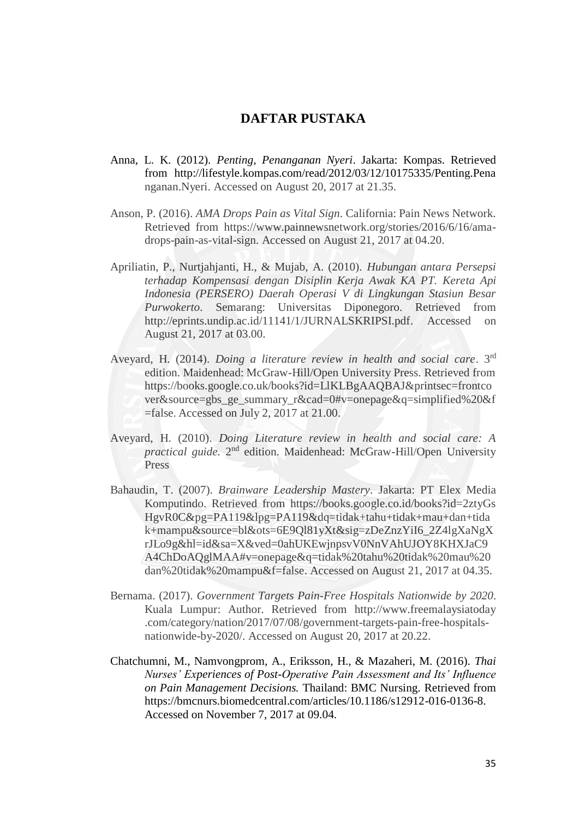## **DAFTAR PUSTAKA**

- Anna, L. K. (2012). *Penting, Penanganan Nyeri*. Jakarta: Kompas. Retrieved from <http://lifestyle.kompas.com/read/2012/03/12/10175335/Penting.Pena> nganan.Nyeri. Accessed on August 20, 2017 at 21.35.
- Anson, P. (2016). *AMA Drops Pain as Vital Sign*. California: Pain News Network. Retrieved from [https://www.painnewsnetwork.org/stories/2016/6/16/ama](https://www.painnewsnetwork.org/stories/2016/6/16/ama-drops-pain-as-vital-sign.%20Accessed%20on%20August%2021)[drops-pain-as-vital-sign. Accessed on August 21,](https://www.painnewsnetwork.org/stories/2016/6/16/ama-drops-pain-as-vital-sign.%20Accessed%20on%20August%2021) 2017 at 04.20.
- Apriliatin, P., Nurtjahjanti, H., & Mujab, A. (2010). *Hubungan antara Persepsi terhadap Kompensasi dengan Disiplin Kerja Awak KA PT. Kereta Api Indonesia (PERSERO) Daerah Operasi V di Lingkungan Stasiun Besar Purwokerto*. Semarang: Universitas Diponegoro. Retrieved from [http://eprints.undip.ac.id/11141/1/JURNALSKRIPSI.pdf.](http://eprints.undip.ac.id/11141/1/JURNALSKRIPSI.pdf) Accessed on August 21, 2017 at 03.00.
- Aveyard, H. (2014). *Doing a literature review in health and social care*. 3rd edition. Maidenhead: McGraw-Hill/Open University Press. Retrieved from [https://books.google.co.uk/books?id=LlKLBgAAQBAJ&printsec=frontco](https://books.google.co.uk/books?id=LlKLBgAAQBAJ&printsec=frontcover&source=gbs_ge_summary_r&cad=0#v=onepage&q=simplified%20&f=false) [ver&source=gbs\\_ge\\_summary\\_r&cad=0#v=onepage&q=simplified%20&f](https://books.google.co.uk/books?id=LlKLBgAAQBAJ&printsec=frontcover&source=gbs_ge_summary_r&cad=0#v=onepage&q=simplified%20&f=false) [=false](https://books.google.co.uk/books?id=LlKLBgAAQBAJ&printsec=frontcover&source=gbs_ge_summary_r&cad=0#v=onepage&q=simplified%20&f=false). Accessed on July 2, 2017 at 21.00.
- Aveyard, H. (2010). *Doing Literature review in health and social care: A*  practical guide. 2<sup>nd</sup> edition. Maidenhead: McGraw-Hill/Open University Press
- Bahaudin, T. (2007). *Brainware Leadership Mastery*. Jakarta: PT Elex Media Komputindo. Retrieved from<https://books.google.co.id/books?id=2ztyGs> HgvR0C&pg=PA119&lpg=PA119&dq=tidak+tahu+tidak+mau+dan+tida k+mampu&source=bl&ots=6E9Ql81yXt&sig=zDeZnzYiI6\_2Z4lgXaNgX rJLo9g&hl=id&sa=X&ved=0ahUKEwjnpsvV0NnVAhUJOY8KHXJaC9 A4ChDoAQglMAA#v=onepage&q=tidak%20tahu%20tidak%20mau%20 dan%20tidak%20mampu&f=false. Accessed on August 21, 2017 at 04.35.
- Bernama. (2017). *Government Targets Pain-Free Hospitals Nationwide by 2020*. Kuala Lumpur: Author. Retrieved from http://www.freemalaysiatoday .com/category/nation/2017/07/08/government-targets-pain-free-hospitalsnationwide-by-2020/. Accessed on August 20, 2017 at 20.22.
- Chatchumni, M., Namvongprom, A., Eriksson, H., & Mazaheri, M. (2016). *Thai Nurses' Experiences of Post-Operative Pain Assessment and Its' Influence on Pain Management Decisions.* Thailand: BMC Nursing. Retrieved from https://bmcnurs.biomedcentral.com/articles/10.1186/s12912-016-0136-8. Accessed on November 7, 2017 at 09.04.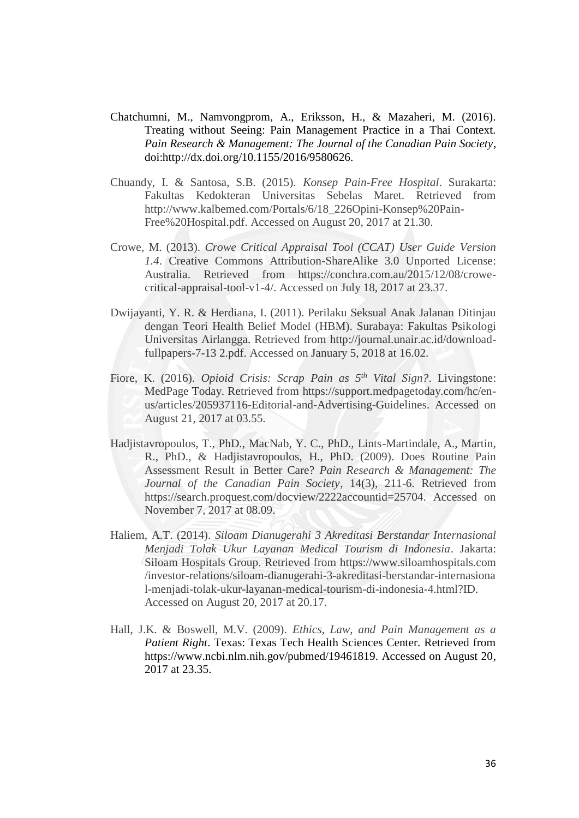- Chatchumni, M., Namvongprom, A., Eriksson, H., & Mazaheri, M. (2016). Treating without Seeing: Pain Management Practice in a Thai Context. *Pain Research & Management: The Journal of the Canadian Pain Society*, doi:http://dx.doi.org/10.1155/2016/9580626.
- Chuandy, I. & Santosa, S.B. (2015). *Konsep Pain-Free Hospital*. Surakarta: Fakultas Kedokteran Universitas Sebelas Maret. Retrieved from [http://www.kalbemed.com/Portals/6/18\\_226Opini-Konsep%20Pain-](http://www.kalbemed.com/Portals/6/18_226Opini-Konsep%20Pain-Free%20Hospital.pdf)[Free%20Hospital.pdf.](http://www.kalbemed.com/Portals/6/18_226Opini-Konsep%20Pain-Free%20Hospital.pdf) Accessed on August 20, 2017 at 21.30.
- Crowe, M. (2013). *Crowe Critical Appraisal Tool (CCAT) User Guide Version 1.4*. Creative Commons Attribution-ShareAlike 3.0 Unported License: Australia. Retrieved from https://conchra.com.au/2015/12/08/crowecritical-appraisal-tool-v1-4/. Accessed on July 18, 2017 at 23.37.
- Dwijayanti, Y. R. & Herdiana, I. (2011). Perilaku Seksual Anak Jalanan Ditinjau dengan Teori Health Belief Model (HBM). Surabaya: Fakultas Psikologi Universitas Airlangga. Retrieved from [http://journal.unair.ac.id/download](http://journal.unair.ac.id/download-fullpapers-7-13)[fullpapers-7-13](http://journal.unair.ac.id/download-fullpapers-7-13) 2.pdf. Accessed on January 5, 2018 at 16.02.
- Fiore, K. (2016). *Opioid Crisis: Scrap Pain as 5 th Vital Sign?*. Livingstone: MedPage Today. Retrieved from [https://support.medpagetoday.com/hc/en](https://support.medpagetoday.com/hc/en-us/articles/205937116-Editorial-and-Advertising-Guidelines.%20Accessed%20on%20August%2021)[us/articles/205937116-Editorial-and-Advertising-Guidelines. Accessed on](https://support.medpagetoday.com/hc/en-us/articles/205937116-Editorial-and-Advertising-Guidelines.%20Accessed%20on%20August%2021)  [August 21,](https://support.medpagetoday.com/hc/en-us/articles/205937116-Editorial-and-Advertising-Guidelines.%20Accessed%20on%20August%2021) 2017 at 03.55.
- Hadjistavropoulos, T., PhD., MacNab, Y. C., PhD., Lints-Martindale, A., Martin, R., PhD., & Hadjistavropoulos, H., PhD. (2009). Does Routine Pain Assessment Result in Better Care? *Pain Research & Management: The Journal of the Canadian Pain Society*, 14(3), 211-6. Retrieved from https://search.proquest.com/docview/2222accountid=25704. Accessed on November 7, 2017 at 08.09.
- Haliem, A.T. (2014). *Siloam Dianugerahi 3 Akreditasi Berstandar Internasional Menjadi Tolak Ukur Layanan Medical Tourism di Indonesia*. Jakarta: Siloam Hospitals Group. Retrieved from [https://www.siloamhospitals.com](https://www.siloamhospitals.com/) /investor-relations/siloam-dianugerahi-3-akreditasi-berstandar-internasiona l-menjadi-tolak-ukur-layanan-medical-tourism-di-indonesia-4.html?ID. Accessed on August 20, 2017 at 20.17.
- Hall, J.K. & Boswell, M.V. (2009). *Ethics, Law, and Pain Management as a Patient Right*. Texas: Texas Tech Health Sciences Center. Retrieved from [https://www.ncbi.nlm.nih.gov/pubmed/19461819. Accessed on August 20,](https://www.ncbi.nlm.nih.gov/pubmed/19461819.%20Accessed%20on%20August%2020) 2017 at 23.35.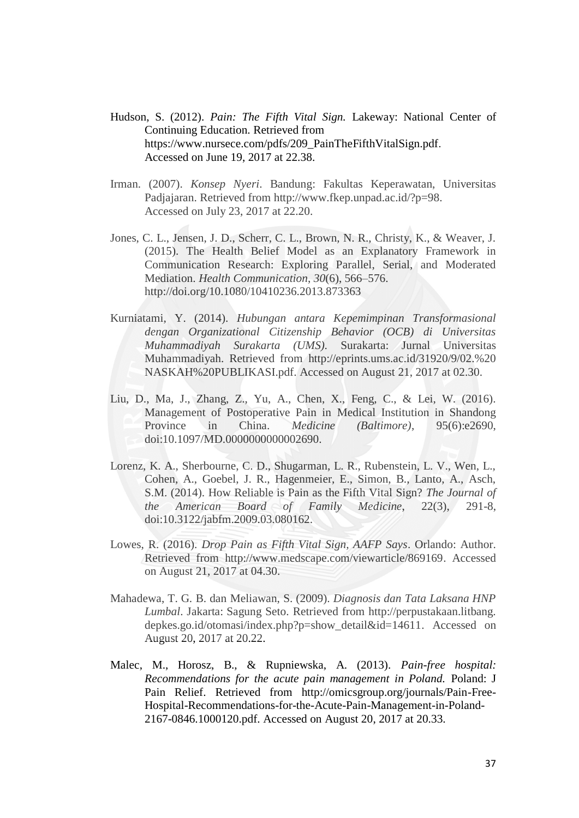- Hudson, S. (2012). *Pain: The Fifth Vital Sign.* Lakeway: National Center of Continuing Education. Retrieved from [https://www.nursece.com/pdfs/209\\_PainTheFifthVitalSign.pdf](https://www.nursece.com/pdfs/209_PainTheFifthVitalSign.pdf). Accessed on June 19, 2017 at 22.38.
- Irman. (2007). *Konsep Nyeri*. Bandung: Fakultas Keperawatan, Universitas Padjajaran. Retrieved from [http://www.fkep.unpad.ac.id/?p=98.](http://www.fkep.unpad.ac.id/?p=98) Accessed on July 23, 2017 at 22.20.
- Jones, C. L., Jensen, J. D., Scherr, C. L., Brown, N. R., Christy, K., & Weaver, J. (2015). The Health Belief Model as an Explanatory Framework in Communication Research: Exploring Parallel, Serial, and Moderated Mediation. *Health Communication*, *30*(6), 566–576. <http://doi.org/10.1080/10410236.2013.873363>
- Kurniatami, Y. (2014). *Hubungan antara Kepemimpinan Transformasional dengan Organizational Citizenship Behavior (OCB) di Universitas Muhammadiyah Surakarta (UMS).* Surakarta: Jurnal Universitas Muhammadiyah. Retrieved from [http://eprints.ums.ac.id/31920/9/02.%20](http://eprints.ums.ac.id/31920/9/02.) NASKAH%20PUBLIKASI.pdf. Accessed on August 21, 2017 at 02.30.
- Liu, D., Ma, J., Zhang, Z., Yu, A., Chen, X., Feng, C., & Lei, W. (2016). Management of Postoperative Pain in Medical Institution in Shandong Province in China. *Medicine (Baltimore)*, 95(6):e2690, doi:10.1097/MD.0000000000002690.
- Lorenz, K. A., Sherbourne, C. D., Shugarman, L. R., Rubenstein, L. V., Wen, L., Cohen, A., Goebel, J. R., Hagenmeier, E., Simon, B., Lanto, A., Asch, S.M. (2014). How Reliable is Pain as the Fifth Vital Sign? *The Journal of the American Board of Family Medicine*, 22(3), 291-8, doi:10.3122/jabfm.2009.03.080162.
- Lowes, R. (2016). *Drop Pain as Fifth Vital Sign, AAFP Says*. Orlando: Author. Retrieved from http://www.medscape.com/viewarticle/869169. Accessed on August 21, 2017 at 04.30.
- Mahadewa, T. G. B. dan Meliawan, S. (2009). *Diagnosis dan Tata Laksana HNP Lumbal*. Jakarta: Sagung Seto. Retrieved from http://perpustakaan.litbang. depkes.go.id/otomasi/index.php?p=show\_detail&id=14611. Accessed on August 20, 2017 at 20.22.
- Malec, M., Horosz, B., & Rupniewska, A. (2013). *Pain-free hospital: Recommendations for the acute pain management in Poland.* Poland: J Pain Relief. Retrieved from [http://omicsgroup.org/journals/Pain-Free-](http://omicsgroup.org/journals/Pain-Free-Hospital-Recommendations-for-the-Acute-Pain-Management-in-Poland-2167-0846.1000120.pdf.%20Accessed%20on%20August%2020)[Hospital-Recommendations-for-the-Acute-Pain-Management-in-Poland-](http://omicsgroup.org/journals/Pain-Free-Hospital-Recommendations-for-the-Acute-Pain-Management-in-Poland-2167-0846.1000120.pdf.%20Accessed%20on%20August%2020)[2167-0846.1000120.pdf. Accessed on August 20,](http://omicsgroup.org/journals/Pain-Free-Hospital-Recommendations-for-the-Acute-Pain-Management-in-Poland-2167-0846.1000120.pdf.%20Accessed%20on%20August%2020) 2017 at 20.33.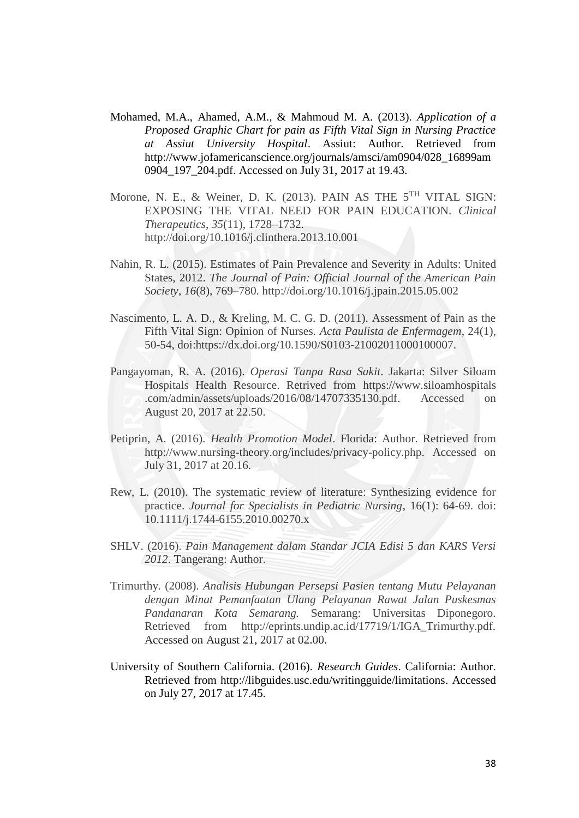- Mohamed, M.A., Ahamed, A.M., & Mahmoud M. A. (2013). *Application of a Proposed Graphic Chart for pain as Fifth Vital Sign in Nursing Practice at Assiut University Hospital*. Assiut: Author. Retrieved from [http://www.jofamericanscience.org/journals/amsci/am0904/028\\_16899am](http://www.jofamericanscience.org/journals/amsci/am0904/028_16899am0904_197_204.pdf.%20Accessed%20on%20July%2031) 0904 197 204.pdf. Accessed on July 31, 2017 at 19.43.
- Morone, N. E., & Weiner, D. K. (2013). PAIN AS THE 5<sup>TH</sup> VITAL SIGN: EXPOSING THE VITAL NEED FOR PAIN EDUCATION. *Clinical Therapeutics*, *35*(11), 1728–1732. http://doi.org/10.1016/j.clinthera.2013.10.001
- Nahin, R. L. (2015). Estimates of Pain Prevalence and Severity in Adults: United States, 2012. *The Journal of Pain: Official Journal of the American Pain Society*, *16*(8), 769–780. <http://doi.org/10.1016/j.jpain.2015.05.002>
- Nascimento, L. A. D., & Kreling, M. C. G. D. (2011). Assessment of Pain as the Fifth Vital Sign: Opinion of Nurses. *Acta Paulista de Enfermagem*, 24(1), 50-54, doi:https://dx.doi.org/10.1590/S0103-21002011000100007.
- Pangayoman, R. A. (2016). *Operasi Tanpa Rasa Sakit*. Jakarta: Silver Siloam Hospitals Health Resource. Retrived from [https://www.siloamhospitals](https://www.siloamhospitals/) .com/admin/assets/uploads/2016/08/14707335130.pdf. Accessed on August 20, 2017 at 22.50.
- Petiprin, A. (2016). *Health Promotion Model*. Florida: Author. Retrieved from [http://www.nursing-theory.org/includes/privacy-policy.php.](http://www.nursing-theory.org/includes/privacy-policy.php) Accessed on July 31, 2017 at 20.16.
- Rew, L. (2010). The systematic review of literature: Synthesizing evidence for practice. *Journal for Specialists in Pediatric Nursing*, 16(1): 64-69. doi: 10.1111/j.1744-6155.2010.00270.x
- SHLV. (2016). *Pain Management dalam Standar JCIA Edisi 5 dan KARS Versi 2012*. Tangerang: Author.
- Trimurthy. (2008). *Analisis Hubungan Persepsi Pasien tentang Mutu Pelayanan dengan Minat Pemanfaatan Ulang Pelayanan Rawat Jalan Puskesmas Pandanaran Kota Semarang.* Semarang: Universitas Diponegoro. Retrieved from http://eprints.undip.ac.id/17719/1/IGA Trimurthy.pdf. [Accessed on August 21,](http://eprints.undip.ac.id/17719/1/IGA_Trimurthy.pdf.%20Accessed%20on%20August%2021) 2017 at 02.00.
- University of Southern California. (2016). *Research Guides*. California: Author. Retrieved from [http://libguides.usc.edu/writingguide/limitations.](http://libguides.usc.edu/writingguide/limitations) Accessed on July 27, 2017 at 17.45.